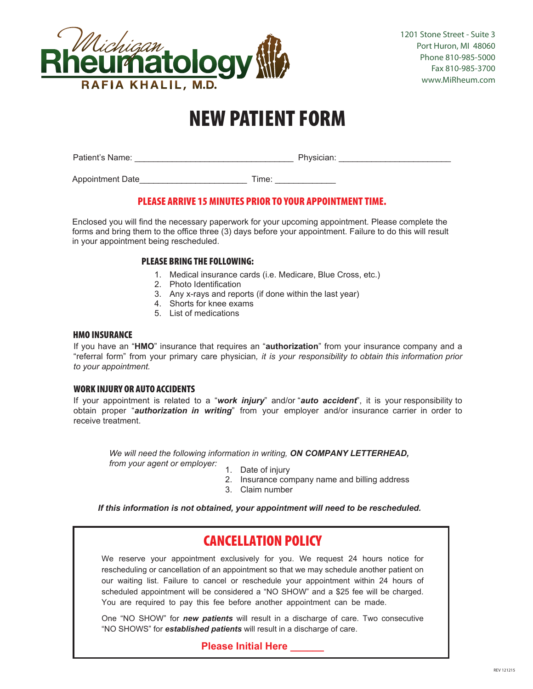

### NEW PATIENT FORM

Patient's Name: \_\_\_\_\_\_\_\_\_\_\_\_\_\_\_\_\_\_\_\_\_\_\_\_\_\_\_\_\_\_\_\_\_\_ Physician: \_\_\_\_\_\_\_\_\_\_\_\_\_\_\_\_\_\_\_\_\_\_\_\_

Appointment Date entitled and the Time:

### PLEASE ARRIVE 15 MINUTES PRIOR TO YOUR APPOINTMENT TIME.

Enclosed you will find the necessary paperwork for your upcoming appointment. Please complete the forms and bring them to the office three (3) days before your appointment. Failure to do this will result in your appointment being rescheduled.

### PLEASE BRING THE FOLLOWING:

- 1. Medical insurance cards (i.e. Medicare, Blue Cross, etc.)
- 2. Photo Identification
- 3. Any x-rays and reports (if done within the last year)
- 4. Shorts for knee exams
- 5. List of medications

### HMO INSURANCE

If you have an "**HMO**" insurance that requires an "**authorization**" from your insurance company and a "referral form" from your primary care physician*, it is your responsibility to obtain this information prior to your appointment.*

### WORK INJURY OR AUTO ACCIDENTS

If your appointment is related to a "*work injury*" and/or "*auto accident*", it is your responsibility to obtain proper "*authorization in writing*" from your employer and/or insurance carrier in order to receive treatment.

*We will need the following information in writing, ON COMPANY LETTERHEAD, from your agent or employer:* 1. Date of injury

- 
- 2. Insurance company name and billing address
- 3. Claim number

*If this information is not obtained, your appointment will need to be rescheduled.* 

### CANCELLATION POLICY

We reserve your appointment exclusively for you. We request 24 hours notice for rescheduling or cancellation of an appointment so that we may schedule another patient on our waiting list. Failure to cancel or reschedule your appointment within 24 hours of scheduled appointment will be considered a "NO SHOW" and a \$25 fee will be charged. You are required to pay this fee before another appointment can be made.

One "NO SHOW" for *new patients* will result in a discharge of care. Two consecutive "NO SHOWS" for *established patients* will result in a discharge of care.

**Please Initial Here \_\_\_\_\_\_**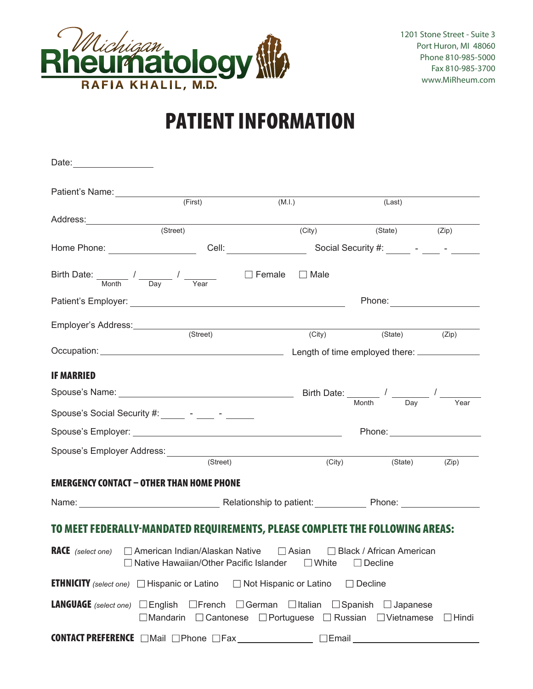

1201 Stone Street - Suite 3 Port Huron, MI 48060 Phone 810-985-5000 Fax 810-985-3700 www.MiRheum.com

### PATIENT INFORMATION

| Date: _____________________                             |                                                                                                                                                         |                                 |                                   |              |
|---------------------------------------------------------|---------------------------------------------------------------------------------------------------------------------------------------------------------|---------------------------------|-----------------------------------|--------------|
|                                                         | Patient's Name:<br><u> </u>                                                                                                                             |                                 |                                   |              |
|                                                         | (First)                                                                                                                                                 | (M.l.)                          | (Last)                            |              |
|                                                         |                                                                                                                                                         |                                 |                                   |              |
|                                                         | (Street)                                                                                                                                                | (City)                          | (State) (Zip)                     |              |
|                                                         |                                                                                                                                                         |                                 |                                   |              |
|                                                         | Birth Date: $\frac{1}{\sqrt{2\pi}}$ / $\frac{1}{\sqrt{2\pi}}$ / $\frac{1}{\sqrt{2\pi}}$                                                                 | $\square$ Female<br>$\Box$ Male |                                   |              |
|                                                         |                                                                                                                                                         |                                 |                                   |              |
|                                                         | Employer's Address: (Street)                                                                                                                            | (City)                          | (State) (Zip)                     |              |
|                                                         |                                                                                                                                                         |                                 |                                   |              |
|                                                         |                                                                                                                                                         |                                 |                                   |              |
| <b>IF MARRIED</b>                                       |                                                                                                                                                         |                                 |                                   |              |
|                                                         | Spouse's Name: $\frac{1}{\sqrt{1-\frac{1}{n}}}\sqrt{\frac{1}{n}}$                                                                                       |                                 |                                   |              |
|                                                         | Spouse's Social Security #: ______ - ____ - ______                                                                                                      |                                 |                                   | Year         |
|                                                         |                                                                                                                                                         |                                 | Phone: National Assembly Phone:   |              |
|                                                         |                                                                                                                                                         |                                 |                                   |              |
|                                                         | (Street)                                                                                                                                                | (City)                          | (State)                           | (Zip)        |
|                                                         | EMERGENCY CONTACT – OTHER THAN HOME PHONE                                                                                                               |                                 |                                   |              |
|                                                         |                                                                                                                                                         |                                 |                                   |              |
|                                                         |                                                                                                                                                         |                                 |                                   |              |
|                                                         | TO MEET FEDERALLY-MANDATED REQUIREMENTS, PLEASE COMPLETE THE FOLLOWING AREAS:                                                                           |                                 |                                   |              |
|                                                         | <b>RACE</b> (select one) $\Box$ American Indian/Alaskan Native $\Box$ Asian $\Box$ Black / African American<br>□ Native Hawaiian/Other Pacific Islander | $\Box$ White                    | $\Box$ Decline                    |              |
| <b>ETHNICITY</b> (select one) $\Box$ Hispanic or Latino |                                                                                                                                                         | $\Box$ Not Hispanic or Latino   | $\Box$ Decline                    |              |
| <b>LANGUAGE</b> (select one) $\Box$ English             | $\Box$ French<br>$\Box$ Mandarin $\Box$ Cantonese $\Box$ Portuguese $\Box$ Russian $\Box$ Vietnamese                                                    | $\Box$ German $\Box$ Italian    | $\Box$ Spanish<br>$\Box$ Japanese | $\Box$ Hindi |
|                                                         | <b>CONTACT PREFERENCE</b> ■ Mail ■ Phone ■ Fax                                                                                                          | $\Box$ Email                    |                                   |              |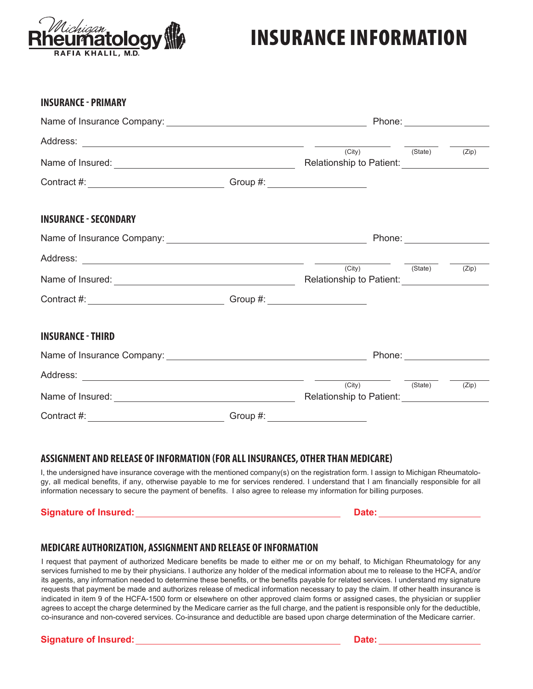

**INSURANCE - PRIMARY** 

### INSURANCE INFORMATION

| <b>INSURANCE - PRIMARY</b>                                                                                                                                                                                                             |          |                                                                                                                                                                                                                                                   |                                                                                                                                                                                     |       |  |  |
|----------------------------------------------------------------------------------------------------------------------------------------------------------------------------------------------------------------------------------------|----------|---------------------------------------------------------------------------------------------------------------------------------------------------------------------------------------------------------------------------------------------------|-------------------------------------------------------------------------------------------------------------------------------------------------------------------------------------|-------|--|--|
|                                                                                                                                                                                                                                        |          |                                                                                                                                                                                                                                                   |                                                                                                                                                                                     |       |  |  |
|                                                                                                                                                                                                                                        |          |                                                                                                                                                                                                                                                   |                                                                                                                                                                                     |       |  |  |
|                                                                                                                                                                                                                                        |          | (City)<br>Relationship to Patient: 2000 2010 2021                                                                                                                                                                                                 | $\frac{\overline{\phantom{a}}}{\phantom{a}}$ $\frac{\overline{\phantom{a}}}{\phantom{a}}$ $\frac{\overline{\phantom{a}}}{\phantom{a}}$ $\frac{\overline{\phantom{a}}}{\phantom{a}}$ | (Zip) |  |  |
|                                                                                                                                                                                                                                        |          |                                                                                                                                                                                                                                                   |                                                                                                                                                                                     |       |  |  |
| <b>INSURANCE - SECONDARY</b>                                                                                                                                                                                                           |          |                                                                                                                                                                                                                                                   |                                                                                                                                                                                     |       |  |  |
|                                                                                                                                                                                                                                        |          |                                                                                                                                                                                                                                                   |                                                                                                                                                                                     |       |  |  |
|                                                                                                                                                                                                                                        |          |                                                                                                                                                                                                                                                   |                                                                                                                                                                                     |       |  |  |
| Name of Insured:<br><u> Letting and the contract of the contract of the contract of the contract of the contract of the contract of the contract of the contract of the contract of the contract of the contract of the contract o</u> |          | (City) (State)<br>Relationship to Patient:<br>Notice that the set of the set of the set of the set of the set of the set of the set of the set of the set of the set of the set of the set of the set of the set of the set of the set of the set |                                                                                                                                                                                     | (Zip) |  |  |
|                                                                                                                                                                                                                                        |          |                                                                                                                                                                                                                                                   |                                                                                                                                                                                     |       |  |  |
| <b>INSURANCE - THIRD</b>                                                                                                                                                                                                               |          |                                                                                                                                                                                                                                                   |                                                                                                                                                                                     |       |  |  |
|                                                                                                                                                                                                                                        |          |                                                                                                                                                                                                                                                   |                                                                                                                                                                                     |       |  |  |
|                                                                                                                                                                                                                                        |          |                                                                                                                                                                                                                                                   |                                                                                                                                                                                     |       |  |  |
|                                                                                                                                                                                                                                        |          | (City)<br>Relationship to Patient:<br><u> Letter Letter Letter Letter Letter Letter Letter Letter Letter Letter Letter Letter Letter Letter Letter Letter Letter Letter Letter Letter Letter Letter Letter Letter Letter Letter Letter Lette</u>  | (State)                                                                                                                                                                             | (Zip) |  |  |
| Contract #:                                                                                                                                                                                                                            | Group #: |                                                                                                                                                                                                                                                   |                                                                                                                                                                                     |       |  |  |

### **ASSIGNMENT AND RELEASE OF INFORMATION (FOR ALL INSURANCES, OTHER THAN MEDICARE)**

I, the undersigned have insurance coverage with the mentioned company(s) on the registration form. I assign to Michigan Rheumatology, all medical benefits, if any, otherwise payable to me for services rendered. I understand that I am financially responsible for all information necessary to secure the payment of benefits. I also agree to release my information for billing purposes.

### **Signature of Insured: Date:**

### **MEDICARE AUTHORIZATION, ASSIGNMENT AND RELEASE OF INFORMATION**

I request that payment of authorized Medicare benefits be made to either me or on my behalf, to Michigan Rheumatology for any services furnished to me by their physicians. I authorize any holder of the medical information about me to release to the HCFA, and/or its agents, any information needed to determine these benefits, or the benefits payable for related services. I understand my signature requests that payment be made and authorizes release of medical information necessary to pay the claim. If other health insurance is indicated in item 9 of the HCFA-1500 form or elsewhere on other approved claim forms or assigned cases, the physician or supplier agrees to accept the charge determined by the Medicare carrier as the full charge, and the patient is responsible only for the deductible, co-insurance and non-covered services. Co-insurance and deductible are based upon charge determination of the Medicare carrier.

### **Signature of Insured: Date: Date: Date: Date: Date: Date: Date: Date: Date: Date: Date: Date: Date: Date: Date: Date: Date: Date: Date: Date: Date: Date: Date: Date: Date:**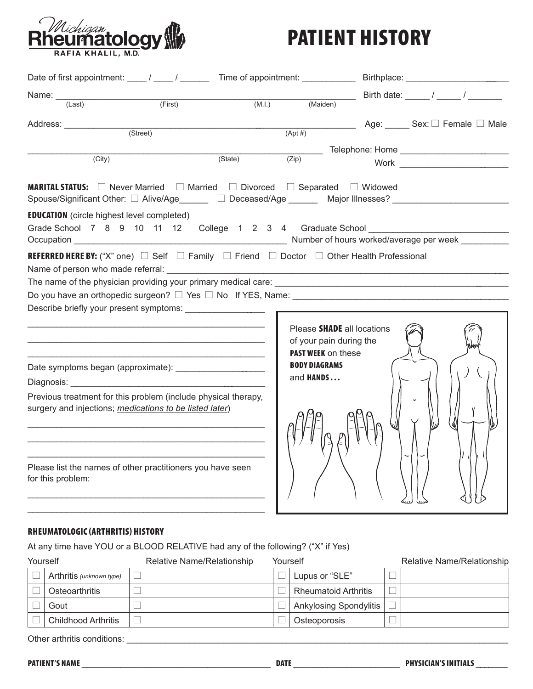

### PATIENT HISTORY

| Date of first appointment: _____/ _____/ _________ Time of appointment: _______________Birthplace: ____________                                                                         |         |                                                                                    |  |                                  |
|-----------------------------------------------------------------------------------------------------------------------------------------------------------------------------------------|---------|------------------------------------------------------------------------------------|--|----------------------------------|
| (First)                                                                                                                                                                                 |         | $(M.l.)$ $(Maiden)$                                                                |  |                                  |
| (Last)                                                                                                                                                                                  |         |                                                                                    |  |                                  |
| Address: _______________                                                                                                                                                                |         |                                                                                    |  | <b>Age:</b> Sex: □ Female □ Male |
| (Street)                                                                                                                                                                                |         | $(Apt \#)$                                                                         |  |                                  |
| $\overline{(City)}$                                                                                                                                                                     | (State) |                                                                                    |  |                                  |
|                                                                                                                                                                                         |         | (Zip)                                                                              |  |                                  |
| <b>MARITAL STATUS:</b> □ Never Married □ Married □ Divorced □ Separated □ Widowed<br>Spouse/Significant Other: □ Alive/Age ______ □ Deceased/Age ______ Major Illnesses? ______________ |         |                                                                                    |  |                                  |
| <b>EDUCATION</b> (circle highest level completed)                                                                                                                                       |         |                                                                                    |  |                                  |
| Grade School 7 8 9 10 11 12 College 1 2 3 4 Graduate School                                                                                                                             |         |                                                                                    |  |                                  |
|                                                                                                                                                                                         |         |                                                                                    |  |                                  |
| <b>REFERRED HERE BY:</b> ("X" one) $\Box$ Self $\Box$ Family $\Box$ Friend $\Box$ Doctor $\Box$ Other Health Professional                                                               |         |                                                                                    |  |                                  |
|                                                                                                                                                                                         |         |                                                                                    |  |                                  |
|                                                                                                                                                                                         |         |                                                                                    |  |                                  |
| Do you have an orthopedic surgeon? $\Box$ Yes $\Box$ No If YES, Name:                                                                                                                   |         |                                                                                    |  |                                  |
|                                                                                                                                                                                         |         |                                                                                    |  |                                  |
|                                                                                                                                                                                         |         | Please SHADE all locations<br>of your pain during the<br><b>PAST WEEK on these</b> |  |                                  |
|                                                                                                                                                                                         |         | <b>BODY DIAGRAMS</b>                                                               |  |                                  |
|                                                                                                                                                                                         |         | and <b>HANDS</b>                                                                   |  |                                  |
| Previous treatment for this problem (include physical therapy,<br>surgery and injections; medications to be listed later)                                                               |         |                                                                                    |  |                                  |
| Please list the names of other practitioners you have seen<br>for this problem:                                                                                                         |         |                                                                                    |  |                                  |

### RHEUMATOLOGIC (ARTHRITIS) HISTORY

At any time have YOU or a BLOOD RELATIVE had any of the following? ("X" if Yes)

| Yourself                    | Relative Name/Relationship | Yourself |                               | <b>Relative Name/Relationship</b> |
|-----------------------------|----------------------------|----------|-------------------------------|-----------------------------------|
| Arthritis (unknown type)    |                            |          | Lupus or "SLE"                |                                   |
| Osteoarthritis              |                            |          | <b>Rheumatoid Arthritis</b>   |                                   |
| Gout                        |                            |          | <b>Ankylosing Spondylitis</b> |                                   |
| <b>Childhood Arthritis</b>  |                            |          | Osteoporosis                  |                                   |
| Other arthritis conditions: |                            |          |                               |                                   |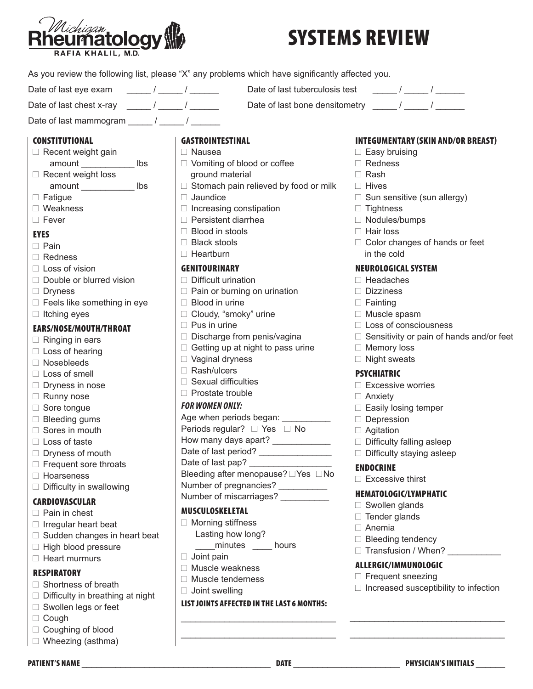

# SYSTEMS REVIEW

|                                                                                                      | As you review the following list, please "X" any problems which have significantly affected you. |                                                                                                                                                                                                                                                                                                                                                                                                                                 |
|------------------------------------------------------------------------------------------------------|--------------------------------------------------------------------------------------------------|---------------------------------------------------------------------------------------------------------------------------------------------------------------------------------------------------------------------------------------------------------------------------------------------------------------------------------------------------------------------------------------------------------------------------------|
| $\frac{1}{\sqrt{2\pi}}$ / $\frac{1}{\sqrt{2\pi}}$ / $\frac{1}{\sqrt{2\pi}}$<br>Date of last eye exam | Date of last tuberculosis test                                                                   | $\frac{1}{\sqrt{1-\frac{1}{2}}}\frac{1}{\sqrt{1-\frac{1}{2}}}\frac{1}{\sqrt{1-\frac{1}{2}}}\frac{1}{\sqrt{1-\frac{1}{2}}}\frac{1}{\sqrt{1-\frac{1}{2}}}\frac{1}{\sqrt{1-\frac{1}{2}}}\frac{1}{\sqrt{1-\frac{1}{2}}}\frac{1}{\sqrt{1-\frac{1}{2}}}\frac{1}{\sqrt{1-\frac{1}{2}}}\frac{1}{\sqrt{1-\frac{1}{2}}}\frac{1}{\sqrt{1-\frac{1}{2}}}\frac{1}{\sqrt{1-\frac{1}{2}}}\frac{1}{\sqrt{1-\frac{1}{2}}}\frac{1}{\sqrt{1-\frac{$ |
| Date of last chest x-ray $\frac{1}{2}$ / $\frac{1}{2}$ / $\frac{1}{2}$                               |                                                                                                  | Date of last bone densitometry _____/ _____/                                                                                                                                                                                                                                                                                                                                                                                    |
| Date of last mammogram $\frac{1}{\sqrt{2\pi}}$ / $\frac{1}{\sqrt{2\pi}}$                             |                                                                                                  |                                                                                                                                                                                                                                                                                                                                                                                                                                 |
| <b>CONSTITUTIONAL</b>                                                                                | <b>GASTROINTESTINAL</b>                                                                          | <b>INTEGUMENTARY (SKIN AND/OR BREAST)</b>                                                                                                                                                                                                                                                                                                                                                                                       |
| $\Box$ Recent weight gain                                                                            | $\Box$ Nausea                                                                                    | $\Box$ Easy bruising                                                                                                                                                                                                                                                                                                                                                                                                            |
| lbs                                                                                                  | $\Box$ Vomiting of blood or coffee                                                               | $\Box$ Redness                                                                                                                                                                                                                                                                                                                                                                                                                  |
| $\Box$ Recent weight loss                                                                            | ground material                                                                                  | $\Box$ Rash                                                                                                                                                                                                                                                                                                                                                                                                                     |
| amount lbs                                                                                           | $\Box$ Stomach pain relieved by food or milk                                                     | $\Box$ Hives                                                                                                                                                                                                                                                                                                                                                                                                                    |
| $\Box$ Fatigue                                                                                       | $\Box$ Jaundice                                                                                  | $\Box$ Sun sensitive (sun allergy)                                                                                                                                                                                                                                                                                                                                                                                              |
| $\Box$ Weakness                                                                                      | $\Box$ Increasing constipation                                                                   | $\Box$ Tightness                                                                                                                                                                                                                                                                                                                                                                                                                |
| $\Box$ Fever                                                                                         | $\Box$ Persistent diarrhea                                                                       | $\Box$ Nodules/bumps                                                                                                                                                                                                                                                                                                                                                                                                            |
|                                                                                                      | $\Box$ Blood in stools                                                                           | $\Box$ Hair loss                                                                                                                                                                                                                                                                                                                                                                                                                |
| <b>EYES</b>                                                                                          | $\Box$ Black stools                                                                              | $\Box$ Color changes of hands or feet                                                                                                                                                                                                                                                                                                                                                                                           |
| $\Box$ Pain                                                                                          | $\Box$ Heartburn                                                                                 | in the cold                                                                                                                                                                                                                                                                                                                                                                                                                     |
| $\Box$ Redness                                                                                       |                                                                                                  |                                                                                                                                                                                                                                                                                                                                                                                                                                 |
| $\Box$ Loss of vision                                                                                | <b>GENITOURINARY</b>                                                                             | <b>NEUROLOGICAL SYSTEM</b>                                                                                                                                                                                                                                                                                                                                                                                                      |
| $\Box$ Double or blurred vision                                                                      | $\Box$ Difficult urination                                                                       | $\Box$ Headaches                                                                                                                                                                                                                                                                                                                                                                                                                |
| $\Box$ Dryness                                                                                       | $\Box$ Pain or burning on urination                                                              | $\Box$ Dizziness                                                                                                                                                                                                                                                                                                                                                                                                                |
| $\Box$ Feels like something in eye                                                                   | Blood in urine                                                                                   | $\Box$ Fainting                                                                                                                                                                                                                                                                                                                                                                                                                 |
| $\Box$ Itching eyes                                                                                  | □ Cloudy, "smoky" urine                                                                          | $\Box$ Muscle spasm                                                                                                                                                                                                                                                                                                                                                                                                             |
| EARS/NOSE/MOUTH/THROAT                                                                               | $\Box$ Pus in urine                                                                              | $\Box$ Loss of consciousness                                                                                                                                                                                                                                                                                                                                                                                                    |
| $\Box$ Ringing in ears                                                                               | $\Box$ Discharge from penis/vagina                                                               | $\Box$ Sensitivity or pain of hands and/or feet                                                                                                                                                                                                                                                                                                                                                                                 |
| $\Box$ Loss of hearing                                                                               | $\Box$ Getting up at night to pass urine                                                         | $\Box$ Memory loss                                                                                                                                                                                                                                                                                                                                                                                                              |
| $\Box$ Nosebleeds                                                                                    | $\Box$ Vaginal dryness                                                                           | $\Box$ Night sweats                                                                                                                                                                                                                                                                                                                                                                                                             |
| $\Box$ Loss of smell                                                                                 | $\Box$ Rash/ulcers                                                                               | <b>PSYCHIATRIC</b>                                                                                                                                                                                                                                                                                                                                                                                                              |
| $\Box$ Dryness in nose                                                                               | $\Box$ Sexual difficulties                                                                       | $\Box$ Excessive worries                                                                                                                                                                                                                                                                                                                                                                                                        |
| $\Box$ Runny nose                                                                                    | □ Prostate trouble                                                                               | $\Box$ Anxiety                                                                                                                                                                                                                                                                                                                                                                                                                  |
| $\Box$ Sore tongue                                                                                   | <b>FOR WOMEN ONLY:</b>                                                                           | $\Box$ Easily losing temper                                                                                                                                                                                                                                                                                                                                                                                                     |
| $\Box$ Bleeding gums                                                                                 | Age when periods began: __________                                                               | $\Box$ Depression                                                                                                                                                                                                                                                                                                                                                                                                               |
| $\Box$ Sores in mouth                                                                                | Periods regular? □ Yes □ No                                                                      | $\Box$ Agitation                                                                                                                                                                                                                                                                                                                                                                                                                |
| $\Box$ Loss of taste                                                                                 | How many days apart? _____________                                                               | $\Box$ Difficulty falling asleep                                                                                                                                                                                                                                                                                                                                                                                                |
| $\Box$ Dryness of mouth                                                                              | Date of last period?                                                                             | $\Box$ Difficulty staying asleep                                                                                                                                                                                                                                                                                                                                                                                                |
| $\Box$ Frequent sore throats                                                                         | Date of last pap? ___________________                                                            | <b>ENDOCRINE</b>                                                                                                                                                                                                                                                                                                                                                                                                                |
| □ Hoarseness                                                                                         | Bleeding after menopause? □ Yes □ No                                                             | $\Box$ Excessive thirst                                                                                                                                                                                                                                                                                                                                                                                                         |
| $\Box$ Difficulty in swallowing                                                                      | Number of pregnancies? __________                                                                | <b>HEMATOLOGIC/LYMPHATIC</b>                                                                                                                                                                                                                                                                                                                                                                                                    |
| <b>CARDIOVASCULAR</b>                                                                                | Number of miscarriages?                                                                          | $\Box$ Swollen glands                                                                                                                                                                                                                                                                                                                                                                                                           |
| $\Box$ Pain in chest                                                                                 | <b>MUSCULOSKELETAL</b>                                                                           | $\Box$ Tender glands                                                                                                                                                                                                                                                                                                                                                                                                            |
| $\Box$ Irregular heart beat                                                                          | $\Box$ Morning stiffness                                                                         | $\Box$ Anemia                                                                                                                                                                                                                                                                                                                                                                                                                   |
| $\Box$ Sudden changes in heart beat                                                                  | Lasting how long?                                                                                | $\Box$ Bleeding tendency                                                                                                                                                                                                                                                                                                                                                                                                        |
| □ High blood pressure                                                                                | minutes _____ hours                                                                              | Transfusion / When?                                                                                                                                                                                                                                                                                                                                                                                                             |
| $\Box$ Heart murmurs                                                                                 | $\Box$ Joint pain                                                                                |                                                                                                                                                                                                                                                                                                                                                                                                                                 |
| <b>RESPIRATORY</b>                                                                                   | □ Muscle weakness                                                                                | ALLERGIC/IMMUNOLOGIC                                                                                                                                                                                                                                                                                                                                                                                                            |
| $\Box$ Shortness of breath                                                                           | Muscle tenderness                                                                                | $\Box$ Frequent sneezing                                                                                                                                                                                                                                                                                                                                                                                                        |
| $\Box$ Difficulty in breathing at night                                                              | $\Box$ Joint swelling                                                                            | $\Box$ Increased susceptibility to infection                                                                                                                                                                                                                                                                                                                                                                                    |
| $\Box$ Swollen legs or feet                                                                          | LIST JOINTS AFFECTED IN THE LAST 6 MONTHS:                                                       |                                                                                                                                                                                                                                                                                                                                                                                                                                 |
| $\Box$ Cough                                                                                         |                                                                                                  |                                                                                                                                                                                                                                                                                                                                                                                                                                 |
| □ Coughing of blood                                                                                  |                                                                                                  |                                                                                                                                                                                                                                                                                                                                                                                                                                 |
| $\Box$ Wheezing (asthma)                                                                             |                                                                                                  |                                                                                                                                                                                                                                                                                                                                                                                                                                 |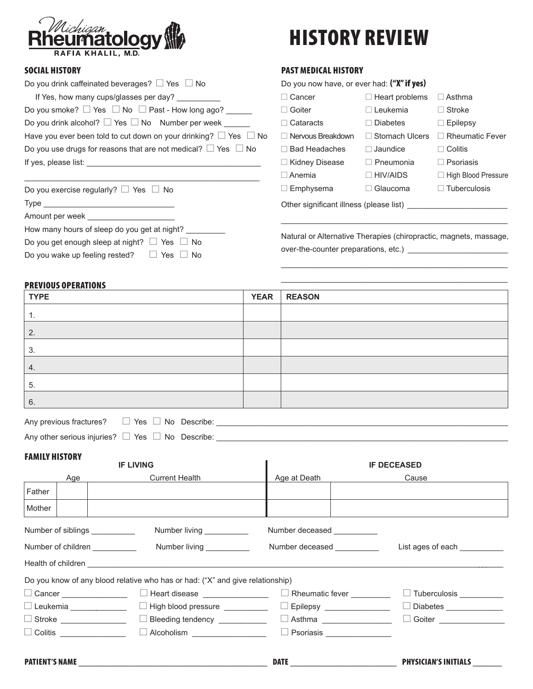

# HISTORY REVIEW

 $\mathcal{L}_\text{max}$  and  $\mathcal{L}_\text{max}$  and  $\mathcal{L}_\text{max}$  and  $\mathcal{L}_\text{max}$ \_\_\_\_\_\_\_\_\_\_\_\_\_\_\_\_\_\_\_\_\_\_\_\_\_\_\_\_\_\_\_\_\_\_\_\_\_\_\_\_\_\_\_\_\_\_\_\_\_\_\_\_

 $\mathcal{A}^{\mathcal{A}}$  Yes g No Describes:  $\mathcal{A}^{\mathcal{A}}$  Yes g No Describes:  $\mathcal{A}^{\mathcal{A}}$ 

PAST MEDICAL HISTORY

### SOCIAL HISTORY

| Do you drink caffeinated beverages? $\Box$ Yes $\Box$ No                   | Do you now have, or ever had: ("X" if yes)                        |                       |                        |  |  |
|----------------------------------------------------------------------------|-------------------------------------------------------------------|-----------------------|------------------------|--|--|
| If Yes, how many cups/glasses per day?                                     | $\Box$ Cancer                                                     | $\Box$ Heart problems | $\Box$ Asthma          |  |  |
| Do you smoke? $\Box$ Yes $\Box$ No $\Box$ Past - How long ago?             | $\Box$ Goiter                                                     | $\Box$ Leukemia       | $\Box$ Stroke          |  |  |
| Do you drink alcohol? $\Box$ Yes $\Box$ No Number per week _______         | $\Box$ Cataracts                                                  | $\Box$ Diabetes       | $\Box$ Epilepsy        |  |  |
| Have you ever been told to cut down on your drinking? $\Box$ Yes $\Box$ No | $\Box$ Nervous Breakdown                                          | $\Box$ Stomach Ulcers | $\Box$ Rheumatic Fever |  |  |
| Do you use drugs for reasons that are not medical? $\Box$ Yes $\Box$ No    | $\Box$ Bad Headaches                                              | $\Box$ Jaundice       | $\Box$ Colitis         |  |  |
|                                                                            | $\Box$ Kidney Disease                                             | $\Box$ Pneumonia      | $\Box$ Psoriasis       |  |  |
|                                                                            | $\Box$ Anemia                                                     | $\Box$ HIV/AIDS       | □ High Blood Pressure  |  |  |
| Do you exercise regularly? $\Box$ Yes $\Box$ No                            | $\Box$ Emphysema                                                  | $\Box$ Glaucoma       | $\Box$ Tuberculosis    |  |  |
|                                                                            |                                                                   |                       |                        |  |  |
| Amount per week ______________________                                     |                                                                   |                       |                        |  |  |
| How many hours of sleep do you get at night? _________                     | Natural or Alternative Therapies (chiropractic, magnets, massage, |                       |                        |  |  |
| Do you get enough sleep at night? $\Box$ Yes $\Box$ No                     |                                                                   |                       |                        |  |  |
| Do you wake up feeling rested? $\Box$ Yes $\Box$ No                        |                                                                   |                       |                        |  |  |

#### PREVIOUS OPERATIONS

| <b>TYPE</b> | <b>YEAR</b> | <b>REASON</b> |
|-------------|-------------|---------------|
| 1.          |             |               |
| 2.          |             |               |
| 3.          |             |               |
| 4.          |             |               |
| 5.          |             |               |
| 6.          |             |               |

| Any previous fractures? $\Box$ Yes $\Box$ No Describe:     |  |  |
|------------------------------------------------------------|--|--|
| Any other serious injuries? $\Box$ Yes $\Box$ No Describe: |  |  |

#### FAMILY HISTORY

| <b>IF LIVING</b>                                                                      |                                |                                                                               |                                 | <b>IF DECEASED</b>           |  |  |  |  |
|---------------------------------------------------------------------------------------|--------------------------------|-------------------------------------------------------------------------------|---------------------------------|------------------------------|--|--|--|--|
| Age                                                                                   |                                | <b>Current Health</b>                                                         | Age at Death                    | Cause                        |  |  |  |  |
| Father                                                                                |                                |                                                                               |                                 |                              |  |  |  |  |
| Mother                                                                                |                                |                                                                               |                                 |                              |  |  |  |  |
|                                                                                       | Number of siblings ___________ | Number living ___________                                                     | Number deceased __________      |                              |  |  |  |  |
| Number living ___________<br>Number of children ___________<br>Number deceased Number |                                |                                                                               |                                 | List ages of each __________ |  |  |  |  |
|                                                                                       |                                |                                                                               |                                 |                              |  |  |  |  |
|                                                                                       |                                | Do you know of any blood relative who has or had: ("X" and give relationship) |                                 |                              |  |  |  |  |
|                                                                                       | □ Cancer <u>______________</u> | $\Box$ Heart disease $\Box$                                                   | Rheumatic fever _________       | □ Tuberculosis __________    |  |  |  |  |
|                                                                                       | $\Box$ Leukemia $\Box$         | □ High blood pressure <u>____________</u>                                     | $\Box$ Epilepsy _______________ |                              |  |  |  |  |
| □ Stroke _________________  □ Bleeding tendency ____________                          |                                |                                                                               | □ Goiter _______________        |                              |  |  |  |  |
|                                                                                       |                                | $\Box$ Colitis $\Box$ Alcoholism $\Box$ Alcoholism $\Box$                     | Psoriasis _______________       |                              |  |  |  |  |
|                                                                                       | PATIENT'S NAME                 |                                                                               |                                 | PHYSICIAN'S INITIALS _______ |  |  |  |  |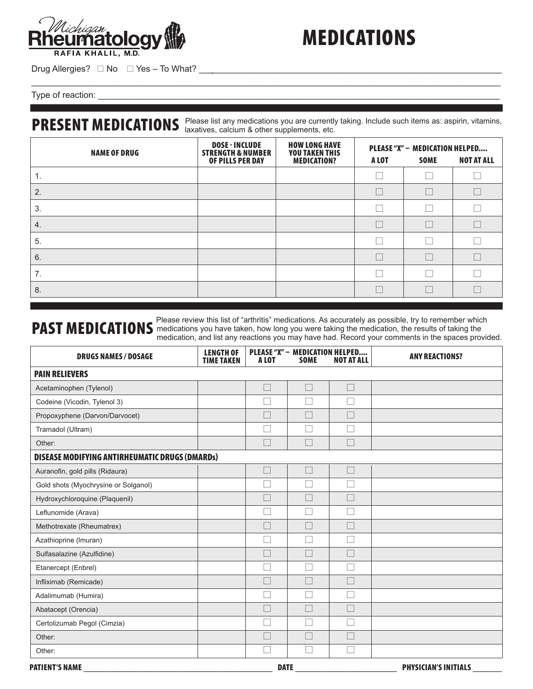

### MEDICATIONS

Drug Allergies? g No g Yes – To What? \_\_\_\_\_\_\_\_\_\_\_\_\_\_\_\_\_\_\_\_\_\_\_\_\_\_\_\_\_\_\_\_\_\_\_\_\_\_\_\_\_\_\_\_\_\_\_\_\_\_\_\_\_\_\_\_\_\_\_\_\_\_\_

Type of reaction: \_\_\_\_\_\_\_\_\_\_\_\_\_\_\_\_\_\_\_\_\_\_\_\_\_\_\_\_\_\_\_\_\_\_\_\_\_\_\_\_\_\_\_\_\_\_\_\_\_\_\_\_\_\_\_\_\_\_\_\_\_\_\_\_\_\_\_\_\_\_\_\_\_\_\_\_\_\_\_\_\_\_\_

### PRESENT MEDICATIONS Please list any medications you are currently taking. Include such items as: aspirin, vitamins,

| <b>NAME OF DRUG</b> | <b>DOSE - INCLUDE</b><br><b>STRENGTH &amp; NUMBER</b><br>OF PILLS PER DAY | <b>HOW LONG HAVE</b><br><b>YOU TAKEN THIS</b><br><b>MEDICATION?</b> | A LOT | <b>SOME</b> | PLEASE "X" - MEDICATION HELPED<br><b>NOT AT ALL</b> |  |
|---------------------|---------------------------------------------------------------------------|---------------------------------------------------------------------|-------|-------------|-----------------------------------------------------|--|
| 1.                  |                                                                           |                                                                     |       |             |                                                     |  |
| 2.                  |                                                                           |                                                                     |       |             |                                                     |  |
| 3.                  |                                                                           |                                                                     |       |             |                                                     |  |
| 4.                  |                                                                           |                                                                     |       |             |                                                     |  |
| 5.                  |                                                                           |                                                                     |       |             |                                                     |  |
| 6.                  |                                                                           |                                                                     |       |             |                                                     |  |
| 7.                  |                                                                           |                                                                     |       |             |                                                     |  |
| 8.                  |                                                                           |                                                                     |       |             |                                                     |  |

### **PAST MEDICATIONS** Please review this list of "arthritis" medications. As accurately as possible, try to remember which **PAST MEDICATIONS** medications you have taken, how long you were taking the medication, the results of medication, and list any reactions you may have had. Record your comments in the spaces provided.

| <b>DRUGS NAMES / DOSAGE</b>                           | <b>LENGTH OF</b><br><b>TIME TAKEN</b> | PLEASE "X" - MEDICATION HELPED<br>A LOT<br><b>SOME</b><br><b>NOT AT ALL</b> |                          |                   | <b>ANY REACTIONS?</b>       |
|-------------------------------------------------------|---------------------------------------|-----------------------------------------------------------------------------|--------------------------|-------------------|-----------------------------|
| <b>PAIN RELIEVERS</b>                                 |                                       |                                                                             |                          |                   |                             |
| Acetaminophen (Tylenol)                               |                                       |                                                                             |                          | Г                 |                             |
| Codeine (Vicodin, Tylenol 3)                          |                                       |                                                                             |                          | Г                 |                             |
| Propoxyphene (Darvon/Darvocet)                        |                                       |                                                                             |                          |                   |                             |
| Tramadol (Ultram)                                     |                                       |                                                                             |                          |                   |                             |
| Other:                                                |                                       | er<br>1970                                                                  | π                        | Г                 |                             |
| <b>DISEASE MODIFYING ANTIRHEUMATIC DRUGS (DMARDs)</b> |                                       |                                                                             |                          |                   |                             |
| Auranofin, gold pills (Ridaura)                       |                                       | an i                                                                        | $\overline{\phantom{a}}$ | $\Box$            |                             |
| Gold shots (Myochrysine or Solganol)                  |                                       |                                                                             |                          | $\overline{\Box}$ |                             |
| Hydroxychloroquine (Plaquenil)                        |                                       |                                                                             |                          |                   |                             |
| Leflunomide (Arava)                                   |                                       |                                                                             |                          |                   |                             |
| Methotrexate (Rheumatrex)                             |                                       |                                                                             |                          | Г                 |                             |
| Azathioprine (Imuran)                                 |                                       |                                                                             |                          |                   |                             |
| Sulfasalazine (Azulfidine)                            |                                       |                                                                             |                          |                   |                             |
| Etanercept (Enbrel)                                   |                                       |                                                                             | π                        | Г                 |                             |
| Infliximab (Remicade)                                 |                                       | ▔                                                                           |                          | Г                 |                             |
| Adalimumab (Humira)                                   |                                       |                                                                             |                          |                   |                             |
| Abatacept (Orencia)                                   |                                       |                                                                             |                          | $\Box$            |                             |
| Certolizumab Pegol (Cimzia)                           |                                       |                                                                             |                          |                   |                             |
| Other:                                                |                                       |                                                                             |                          |                   |                             |
| Other:                                                |                                       | and the                                                                     | π                        | Г                 |                             |
| <b>PATIENT'S NAME</b>                                 |                                       | <b>DATE</b>                                                                 |                          |                   | <b>PHYSICIAN'S INITIALS</b> |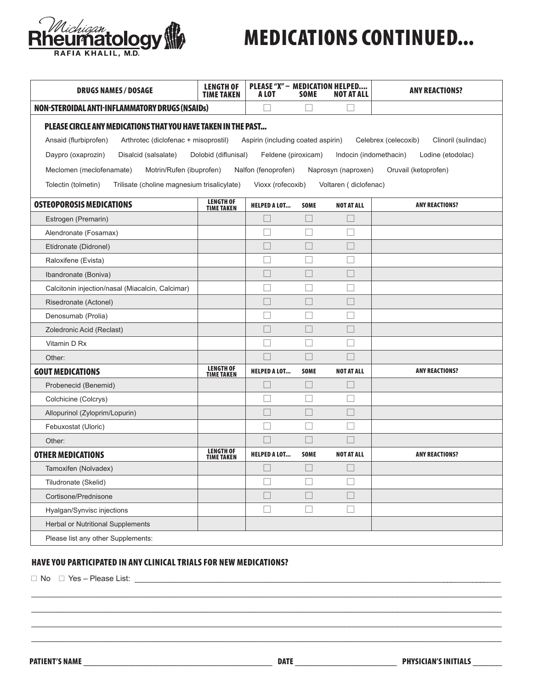

| <b>DRUGS NAMES / DOSAGE</b>                                                                                                                                                                                                                                                                                                                                     | <b>LENGTH OF</b><br><b>TIME TAKEN</b> | PLEASE "X" - MEDICATION HELPED<br>A LOT | <b>SOME</b>              | <b>NOT AT ALL</b>        | <b>ANY REACTIONS?</b> |  |  |
|-----------------------------------------------------------------------------------------------------------------------------------------------------------------------------------------------------------------------------------------------------------------------------------------------------------------------------------------------------------------|---------------------------------------|-----------------------------------------|--------------------------|--------------------------|-----------------------|--|--|
| <b>NON-STEROIDAL ANTI-INFLAMMATORY DRUGS (NSAIDs)</b>                                                                                                                                                                                                                                                                                                           |                                       | П                                       |                          |                          |                       |  |  |
| PLEASE CIRCLE ANY MEDICATIONS THAT YOU HAVE TAKEN IN THE PAST<br>Ansaid (flurbiprofen)<br>Arthrotec (diclofenac + misoprostil)<br>Aspirin (including coated aspirin)<br>Celebrex (celecoxib)<br>Clinoril (sulindac)<br>Daypro (oxaprozin)<br>Disalcid (salsalate)<br>Dolobid (diflunisal)<br>Feldene (piroxicam)<br>Indocin (indomethacin)<br>Lodine (etodolac) |                                       |                                         |                          |                          |                       |  |  |
| Oruvail (ketoprofen)<br>Meclomen (meclofenamate)<br>Motrin/Rufen (ibuprofen)<br>Nalfon (fenoprofen)<br>Naprosyn (naproxen)<br>Tolectin (tolmetin)<br>Trilisate (choline magnesium trisalicylate)<br>Vioxx (rofecoxib)<br>Voltaren (diclofenac)                                                                                                                  |                                       |                                         |                          |                          |                       |  |  |
| <b>OSTEOPOROSIS MEDICATIONS</b>                                                                                                                                                                                                                                                                                                                                 | <b>LENGTH OF</b><br><b>TIME TAKEN</b> | <b>HELPED A LOT</b>                     | <b>SOME</b>              | <b>NOT AT ALL</b>        | <b>ANY REACTIONS?</b> |  |  |
| Estrogen (Premarin)                                                                                                                                                                                                                                                                                                                                             |                                       | $\Box$                                  |                          |                          |                       |  |  |
| Alendronate (Fosamax)                                                                                                                                                                                                                                                                                                                                           |                                       | $\overline{\phantom{a}}$                |                          |                          |                       |  |  |
| Etidronate (Didronel)                                                                                                                                                                                                                                                                                                                                           |                                       | П                                       | П                        | $\Box$                   |                       |  |  |
| Raloxifene (Evista)                                                                                                                                                                                                                                                                                                                                             |                                       |                                         |                          |                          |                       |  |  |
| Ibandronate (Boniva)                                                                                                                                                                                                                                                                                                                                            |                                       | l I                                     |                          | $\overline{\phantom{a}}$ |                       |  |  |
| Calcitonin injection/nasal (Miacalcin, Calcimar)                                                                                                                                                                                                                                                                                                                |                                       | П                                       | П                        | П                        |                       |  |  |
| Risedronate (Actonel)                                                                                                                                                                                                                                                                                                                                           |                                       |                                         |                          |                          |                       |  |  |
| Denosumab (Prolia)                                                                                                                                                                                                                                                                                                                                              |                                       | L.                                      |                          |                          |                       |  |  |
| Zoledronic Acid (Reclast)                                                                                                                                                                                                                                                                                                                                       |                                       | П                                       | П                        | $\Box$                   |                       |  |  |
| Vitamin D Rx                                                                                                                                                                                                                                                                                                                                                    |                                       |                                         |                          |                          |                       |  |  |
| Other:                                                                                                                                                                                                                                                                                                                                                          |                                       |                                         |                          |                          |                       |  |  |
| <b>GOUT MEDICATIONS</b>                                                                                                                                                                                                                                                                                                                                         | <b>LENGTH OF</b><br><b>TIME TAKEN</b> | <b>HELPED A LOT</b>                     | <b>SOME</b>              | <b>NOT AT ALL</b>        | <b>ANY REACTIONS?</b> |  |  |
| Probenecid (Benemid)                                                                                                                                                                                                                                                                                                                                            |                                       | $\Box$                                  |                          |                          |                       |  |  |
| Colchicine (Colcrys)                                                                                                                                                                                                                                                                                                                                            |                                       |                                         |                          |                          |                       |  |  |
| Allopurinol (Zyloprim/Lopurin)                                                                                                                                                                                                                                                                                                                                  |                                       | $\overline{\phantom{a}}$                | $\Box$                   | $\Box$                   |                       |  |  |
| Febuxostat (Uloric)                                                                                                                                                                                                                                                                                                                                             |                                       | П                                       | П                        | П                        |                       |  |  |
| Other:                                                                                                                                                                                                                                                                                                                                                          |                                       |                                         |                          |                          |                       |  |  |
| <b>OTHER MEDICATIONS</b>                                                                                                                                                                                                                                                                                                                                        | <b>LENGTH OF</b><br><b>TIME TAKEN</b> | <b>HELPED A LOT</b>                     | <b>SOME</b>              | <b>NOT AT ALL</b>        | <b>ANY REACTIONS?</b> |  |  |
| Tamoxifen (Nolvadex)                                                                                                                                                                                                                                                                                                                                            |                                       | $\Box$                                  |                          |                          |                       |  |  |
| Tiludronate (Skelid)                                                                                                                                                                                                                                                                                                                                            |                                       | $\Box$                                  |                          |                          |                       |  |  |
| Cortisone/Prednisone                                                                                                                                                                                                                                                                                                                                            |                                       | П                                       | П                        | $\Box$                   |                       |  |  |
| Hyalgan/Synvisc injections                                                                                                                                                                                                                                                                                                                                      |                                       | $\Box$                                  | $\overline{\phantom{a}}$ |                          |                       |  |  |
| Herbal or Nutritional Supplements                                                                                                                                                                                                                                                                                                                               |                                       |                                         |                          |                          |                       |  |  |
| Please list any other Supplements:                                                                                                                                                                                                                                                                                                                              |                                       |                                         |                          |                          |                       |  |  |

### HAVE YOU PARTICIPATED IN ANY CLINICAL TRIALS FOR NEW MEDICATIONS?

*Michigan*<br>**PUIMATOLOGY** 

 $\square$  No  $\square$  Yes – Please List:  $\underline{\qquad \qquad \qquad \qquad \qquad \qquad \qquad }$ 

\_\_\_\_\_\_\_\_\_\_\_\_\_\_\_\_\_\_\_\_\_\_\_\_\_\_\_\_\_\_\_\_\_\_\_\_\_\_\_\_\_\_\_\_\_\_\_\_\_\_\_\_\_\_\_\_\_\_\_\_\_\_\_\_\_\_\_\_\_\_\_\_\_\_\_\_\_\_\_\_\_\_\_\_\_\_\_\_\_\_\_\_\_\_\_\_\_\_\_\_\_\_\_\_\_\_\_\_ \_\_\_\_\_\_\_\_\_\_\_\_\_\_\_\_\_\_\_\_\_\_\_\_\_\_\_\_\_\_\_\_\_\_\_\_\_\_\_\_\_\_\_\_\_\_\_\_\_\_\_\_\_\_\_\_\_\_\_\_\_\_\_\_\_\_\_\_\_\_\_\_\_\_\_\_\_\_\_\_\_\_\_\_\_\_\_\_\_\_\_\_\_\_\_\_\_\_\_\_\_\_\_\_\_\_\_\_ \_\_\_\_\_\_\_\_\_\_\_\_\_\_\_\_\_\_\_\_\_\_\_\_\_\_\_\_\_\_\_\_\_\_\_\_\_\_\_\_\_\_\_\_\_\_\_\_\_\_\_\_\_\_\_\_\_\_\_\_\_\_\_\_\_\_\_\_\_\_\_\_\_\_\_\_\_\_\_\_\_\_\_\_\_\_\_\_\_\_\_\_\_\_\_\_\_\_\_\_\_\_\_\_\_\_\_\_ \_\_\_\_\_\_\_\_\_\_\_\_\_\_\_\_\_\_\_\_\_\_\_\_\_\_\_\_\_\_\_\_\_\_\_\_\_\_\_\_\_\_\_\_\_\_\_\_\_\_\_\_\_\_\_\_\_\_\_\_\_\_\_\_\_\_\_\_\_\_\_\_\_\_\_\_\_\_\_\_\_\_\_\_\_\_\_\_\_\_\_\_\_\_\_\_\_\_\_\_\_\_\_\_\_\_\_\_